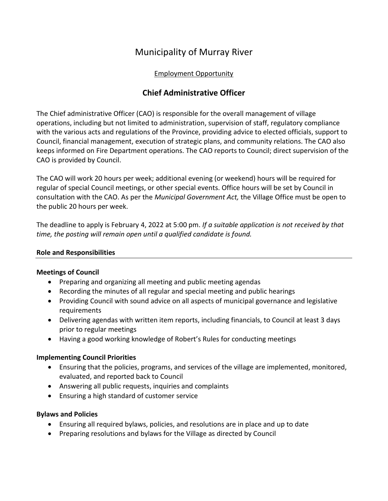# Municipality of Murray River

## Employment Opportunity

## **Chief Administrative Officer**

The Chief administrative Officer (CAO) is responsible for the overall management of village operations, including but not limited to administration, supervision of staff, regulatory compliance with the various acts and regulations of the Province, providing advice to elected officials, support to Council, financial management, execution of strategic plans, and community relations. The CAO also keeps informed on Fire Department operations. The CAO reports to Council; direct supervision of the CAO is provided by Council.

The CAO will work 20 hours per week; additional evening (or weekend) hours will be required for regular of special Council meetings, or other special events. Office hours will be set by Council in consultation with the CAO. As per the *Municipal Government Act,* the Village Office must be open to the public 20 hours per week.

The deadline to apply is February 4, 2022 at 5:00 pm. *If a suitable application is not received by that time, the posting will remain open until a qualified candidate is found.*

### **Role and Responsibilities**

#### **Meetings of Council**

- Preparing and organizing all meeting and public meeting agendas
- Recording the minutes of all regular and special meeting and public hearings
- Providing Council with sound advice on all aspects of municipal governance and legislative requirements
- Delivering agendas with written item reports, including financials, to Council at least 3 days prior to regular meetings
- Having a good working knowledge of Robert's Rules for conducting meetings

## **Implementing Council Priorities**

- Ensuring that the policies, programs, and services of the village are implemented, monitored, evaluated, and reported back to Council
- Answering all public requests, inquiries and complaints
- Ensuring a high standard of customer service

## **Bylaws and Policies**

- Ensuring all required bylaws, policies, and resolutions are in place and up to date
- Preparing resolutions and bylaws for the Village as directed by Council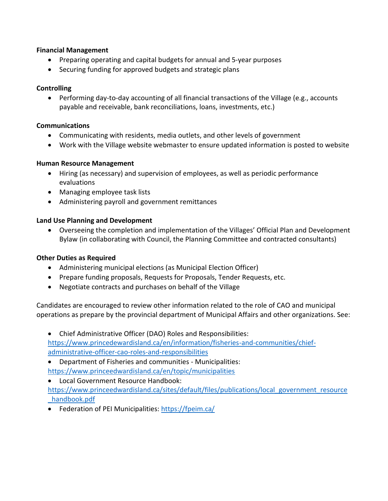### **Financial Management**

- Preparing operating and capital budgets for annual and 5-year purposes
- Securing funding for approved budgets and strategic plans

## **Controlling**

• Performing day-to-day accounting of all financial transactions of the Village (e.g., accounts payable and receivable, bank reconciliations, loans, investments, etc.)

## **Communications**

- Communicating with residents, media outlets, and other levels of government
- Work with the Village website webmaster to ensure updated information is posted to website

## **Human Resource Management**

- Hiring (as necessary) and supervision of employees, as well as periodic performance evaluations
- Managing employee task lists
- Administering payroll and government remittances

## **Land Use Planning and Development**

• Overseeing the completion and implementation of the Villages' Official Plan and Development Bylaw (in collaborating with Council, the Planning Committee and contracted consultants)

## **Other Duties as Required**

- Administering municipal elections (as Municipal Election Officer)
- Prepare funding proposals, Requests for Proposals, Tender Requests, etc.
- Negotiate contracts and purchases on behalf of the Village

Candidates are encouraged to review other information related to the role of CAO and municipal operations as prepare by the provincial department of Municipal Affairs and other organizations. See:

• Chief Administrative Officer (DAO) Roles and Responsibilities: [https://www.princedewardisland.ca/en/information/fisheries-and-communities/chief](https://www.princedewardisland.ca/en/information/fisheries-and-communities/chief-administrative-officer-cao-roles-and-responsibilities)[administrative-officer-cao-roles-and-responsibilities](https://www.princedewardisland.ca/en/information/fisheries-and-communities/chief-administrative-officer-cao-roles-and-responsibilities)

• Department of Fisheries and communities - Municipalities: <https://www.princeedwardisland.ca/en/topic/municipalities>

- Local Government Resource Handbook: [https://www.princeedwardisland.ca/sites/default/files/publications/local\\_government\\_resource](https://www.princeedwardisland.ca/sites/default/files/publications/local_government_resource_handbook.pdf) [\\_handbook.pdf](https://www.princeedwardisland.ca/sites/default/files/publications/local_government_resource_handbook.pdf)
- Federation of PEI Municipalities:<https://fpeim.ca/>